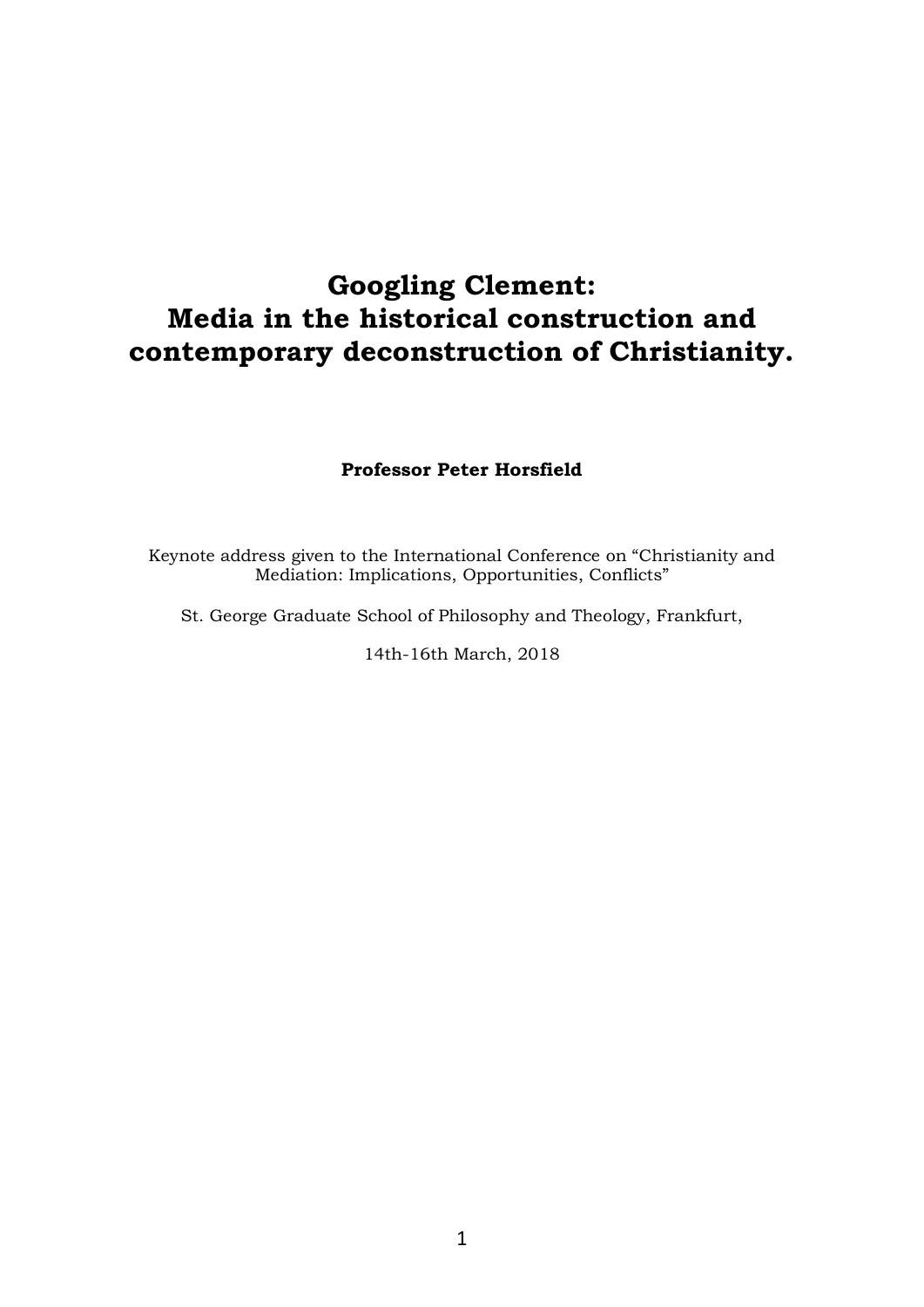# **Googling Clement: Media in the historical construction and contemporary deconstruction of Christianity.**

# **Professor Peter Horsfield**

Keynote address given to the International Conference on "Christianity and Mediation: Implications, Opportunities, Conflicts"

St. George Graduate School of Philosophy and Theology, Frankfurt,

14th-16th March, 2018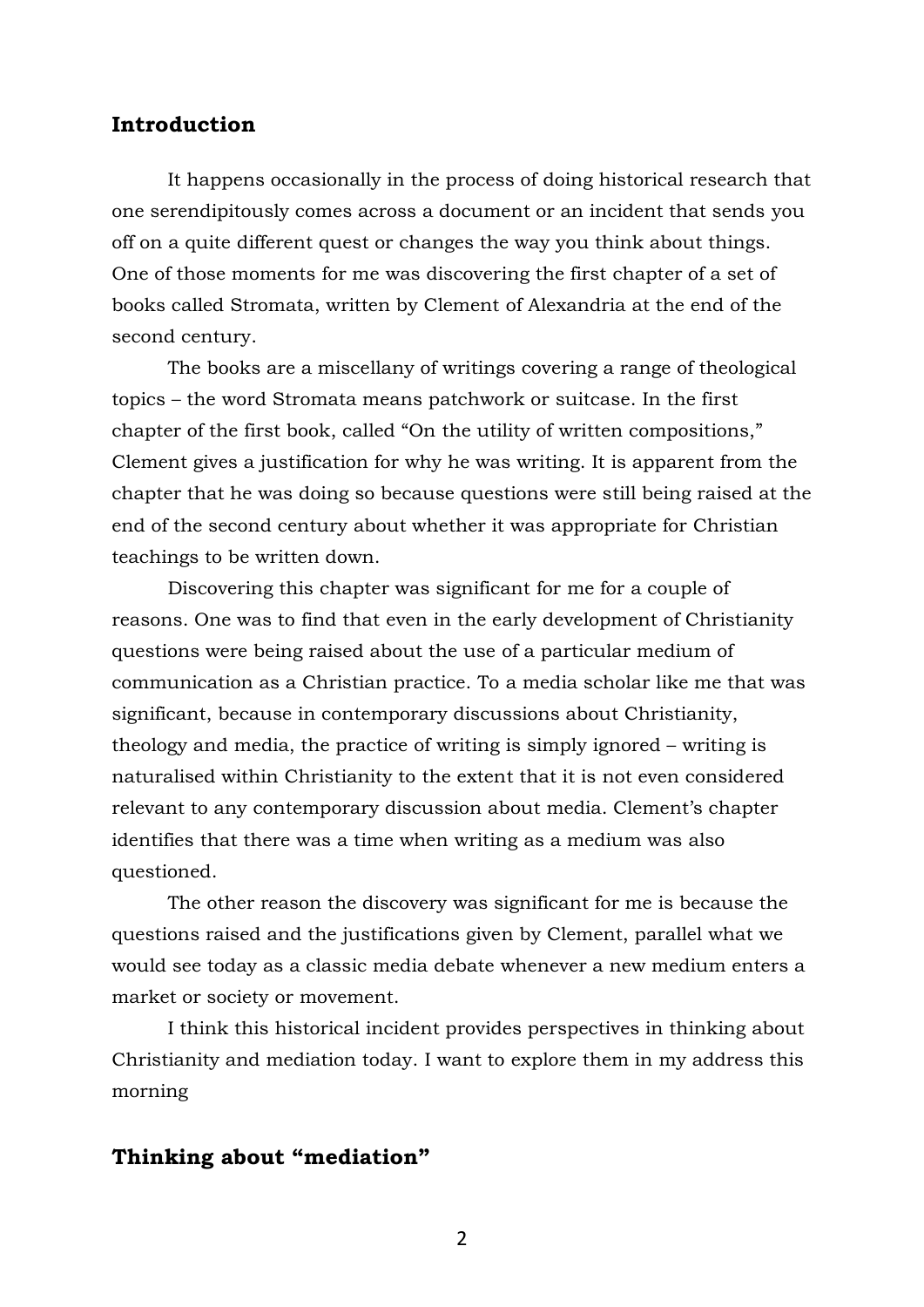# **Introduction**

It happens occasionally in the process of doing historical research that one serendipitously comes across a document or an incident that sends you off on a quite different quest or changes the way you think about things. One of those moments for me was discovering the first chapter of a set of books called Stromata, written by Clement of Alexandria at the end of the second century.

The books are a miscellany of writings covering a range of theological topics – the word Stromata means patchwork or suitcase. In the first chapter of the first book, called "On the utility of written compositions," Clement gives a justification for why he was writing. It is apparent from the chapter that he was doing so because questions were still being raised at the end of the second century about whether it was appropriate for Christian teachings to be written down.

Discovering this chapter was significant for me for a couple of reasons. One was to find that even in the early development of Christianity questions were being raised about the use of a particular medium of communication as a Christian practice. To a media scholar like me that was significant, because in contemporary discussions about Christianity, theology and media, the practice of writing is simply ignored – writing is naturalised within Christianity to the extent that it is not even considered relevant to any contemporary discussion about media. Clement's chapter identifies that there was a time when writing as a medium was also questioned.

The other reason the discovery was significant for me is because the questions raised and the justifications given by Clement, parallel what we would see today as a classic media debate whenever a new medium enters a market or society or movement.

I think this historical incident provides perspectives in thinking about Christianity and mediation today. I want to explore them in my address this morning

# **Thinking about "mediation"**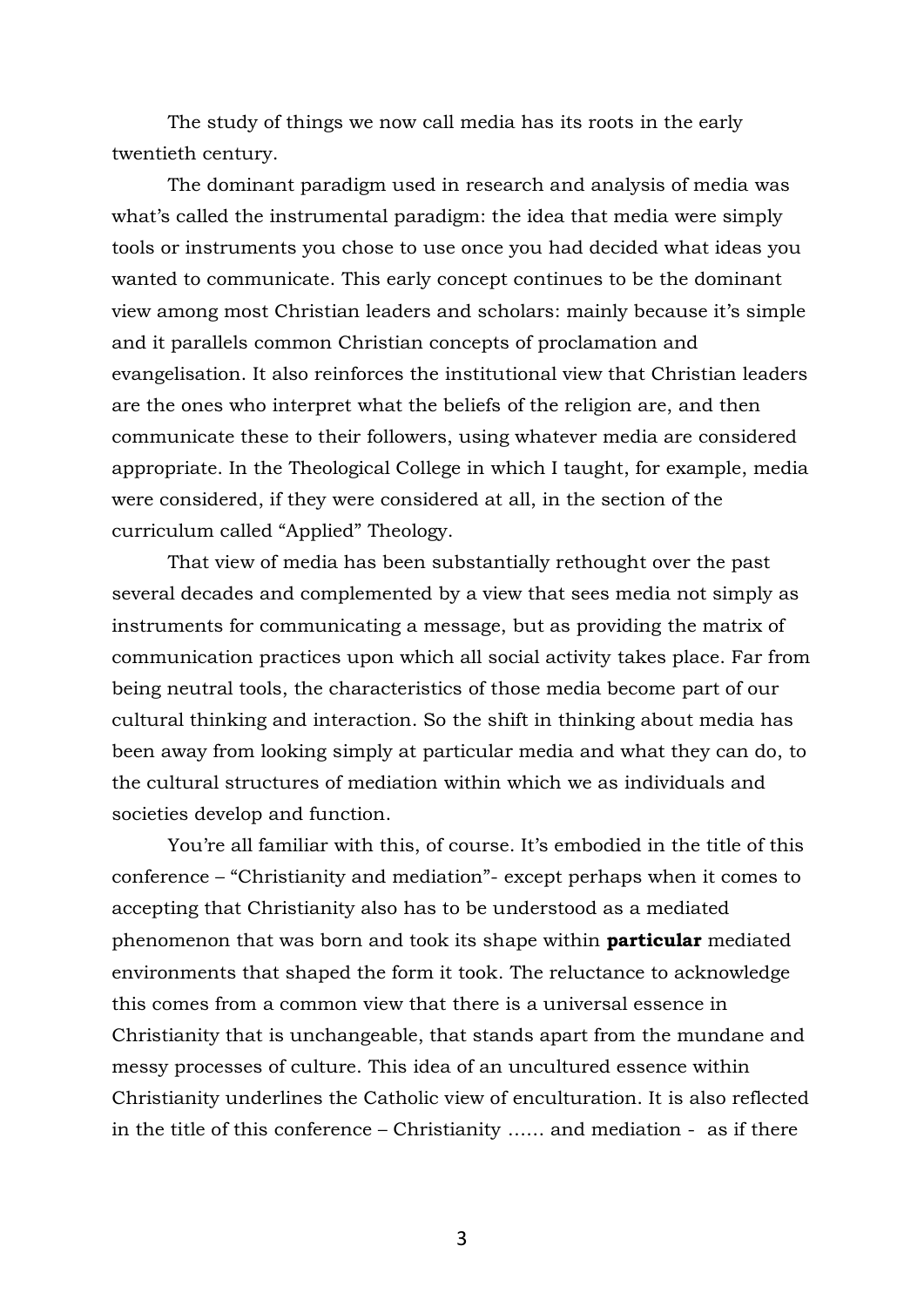The study of things we now call media has its roots in the early twentieth century.

The dominant paradigm used in research and analysis of media was what's called the instrumental paradigm: the idea that media were simply tools or instruments you chose to use once you had decided what ideas you wanted to communicate. This early concept continues to be the dominant view among most Christian leaders and scholars: mainly because it's simple and it parallels common Christian concepts of proclamation and evangelisation. It also reinforces the institutional view that Christian leaders are the ones who interpret what the beliefs of the religion are, and then communicate these to their followers, using whatever media are considered appropriate. In the Theological College in which I taught, for example, media were considered, if they were considered at all, in the section of the curriculum called "Applied" Theology.

That view of media has been substantially rethought over the past several decades and complemented by a view that sees media not simply as instruments for communicating a message, but as providing the matrix of communication practices upon which all social activity takes place. Far from being neutral tools, the characteristics of those media become part of our cultural thinking and interaction. So the shift in thinking about media has been away from looking simply at particular media and what they can do, to the cultural structures of mediation within which we as individuals and societies develop and function.

You're all familiar with this, of course. It's embodied in the title of this conference – "Christianity and mediation"- except perhaps when it comes to accepting that Christianity also has to be understood as a mediated phenomenon that was born and took its shape within **particular** mediated environments that shaped the form it took. The reluctance to acknowledge this comes from a common view that there is a universal essence in Christianity that is unchangeable, that stands apart from the mundane and messy processes of culture. This idea of an uncultured essence within Christianity underlines the Catholic view of enculturation. It is also reflected in the title of this conference – Christianity …… and mediation - as if there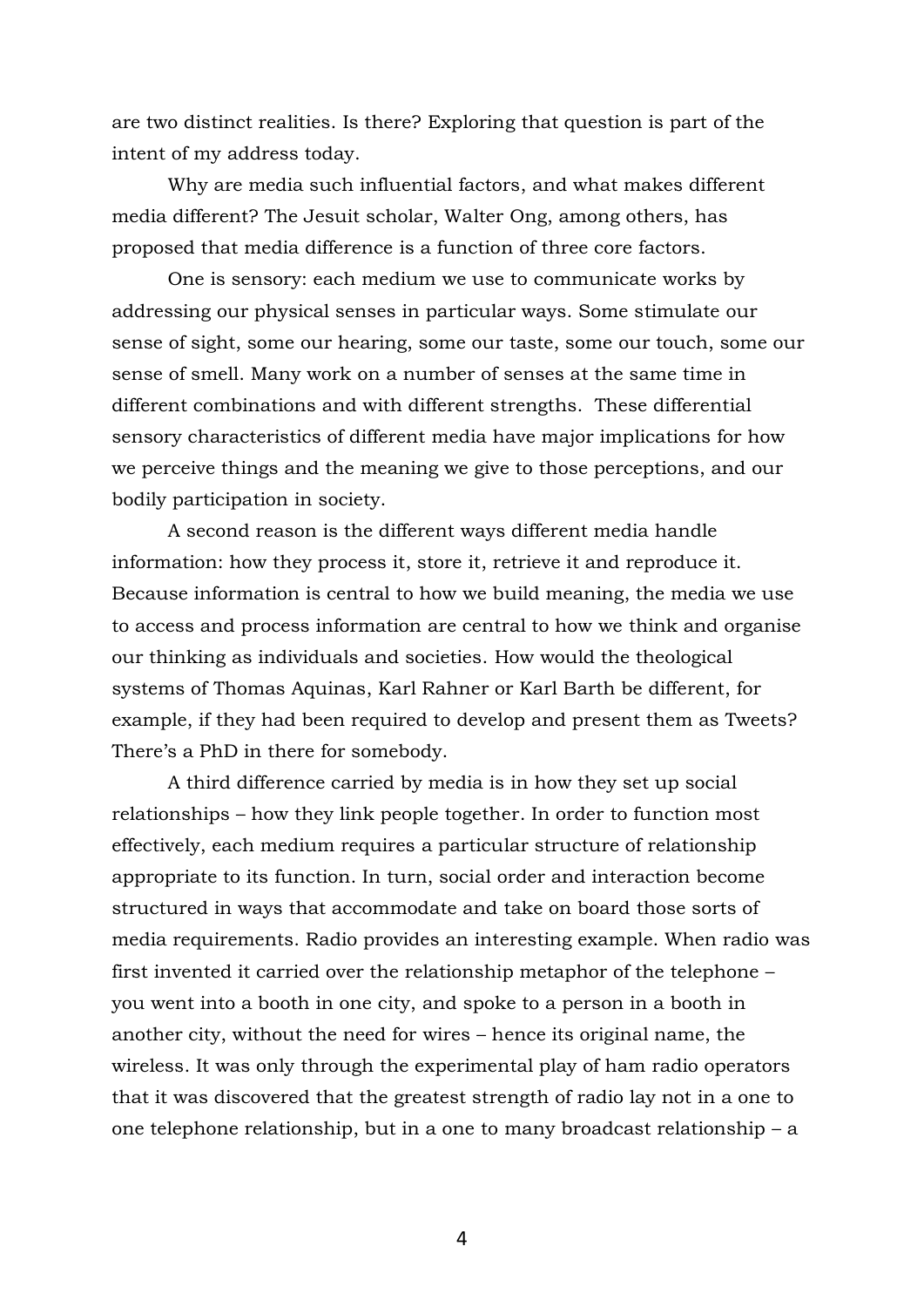are two distinct realities. Is there? Exploring that question is part of the intent of my address today.

Why are media such influential factors, and what makes different media different? The Jesuit scholar, Walter Ong, among others, has proposed that media difference is a function of three core factors.

One is sensory: each medium we use to communicate works by addressing our physical senses in particular ways. Some stimulate our sense of sight, some our hearing, some our taste, some our touch, some our sense of smell. Many work on a number of senses at the same time in different combinations and with different strengths. These differential sensory characteristics of different media have major implications for how we perceive things and the meaning we give to those perceptions, and our bodily participation in society.

A second reason is the different ways different media handle information: how they process it, store it, retrieve it and reproduce it. Because information is central to how we build meaning, the media we use to access and process information are central to how we think and organise our thinking as individuals and societies. How would the theological systems of Thomas Aquinas, Karl Rahner or Karl Barth be different, for example, if they had been required to develop and present them as Tweets? There's a PhD in there for somebody.

A third difference carried by media is in how they set up social relationships – how they link people together. In order to function most effectively, each medium requires a particular structure of relationship appropriate to its function. In turn, social order and interaction become structured in ways that accommodate and take on board those sorts of media requirements. Radio provides an interesting example. When radio was first invented it carried over the relationship metaphor of the telephone – you went into a booth in one city, and spoke to a person in a booth in another city, without the need for wires – hence its original name, the wireless. It was only through the experimental play of ham radio operators that it was discovered that the greatest strength of radio lay not in a one to one telephone relationship, but in a one to many broadcast relationship – a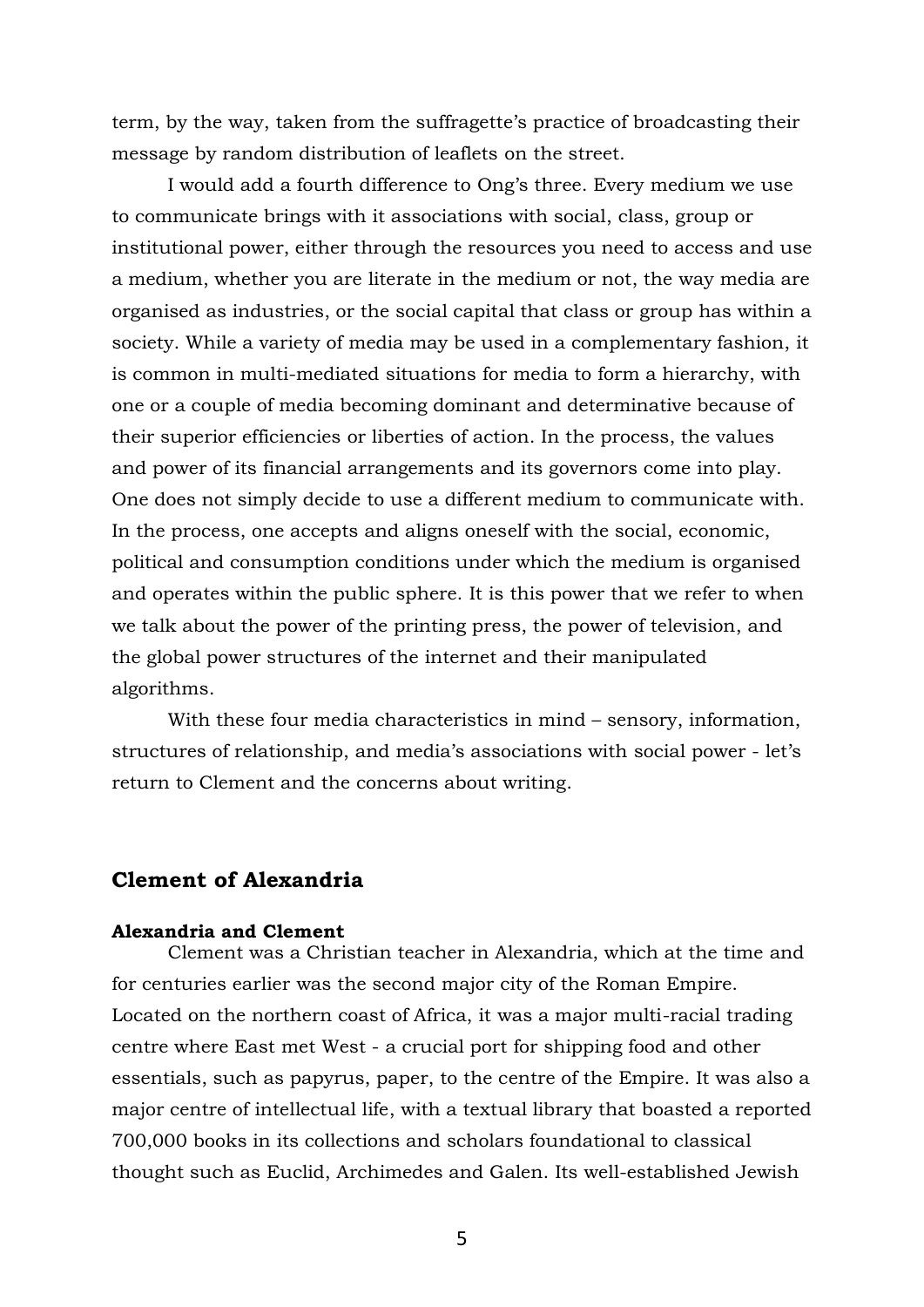term, by the way, taken from the suffragette's practice of broadcasting their message by random distribution of leaflets on the street.

I would add a fourth difference to Ong's three. Every medium we use to communicate brings with it associations with social, class, group or institutional power, either through the resources you need to access and use a medium, whether you are literate in the medium or not, the way media are organised as industries, or the social capital that class or group has within a society. While a variety of media may be used in a complementary fashion, it is common in multi-mediated situations for media to form a hierarchy, with one or a couple of media becoming dominant and determinative because of their superior efficiencies or liberties of action. In the process, the values and power of its financial arrangements and its governors come into play. One does not simply decide to use a different medium to communicate with. In the process, one accepts and aligns oneself with the social, economic, political and consumption conditions under which the medium is organised and operates within the public sphere. It is this power that we refer to when we talk about the power of the printing press, the power of television, and the global power structures of the internet and their manipulated algorithms.

With these four media characteristics in mind – sensory, information, structures of relationship, and media's associations with social power - let's return to Clement and the concerns about writing.

# **Clement of Alexandria**

#### **Alexandria and Clement**

Clement was a Christian teacher in Alexandria, which at the time and for centuries earlier was the second major city of the Roman Empire. Located on the northern coast of Africa, it was a major multi-racial trading centre where East met West - a crucial port for shipping food and other essentials, such as papyrus, paper, to the centre of the Empire. It was also a major centre of intellectual life, with a textual library that boasted a reported 700,000 books in its collections and scholars foundational to classical thought such as Euclid, Archimedes and Galen. Its well-established Jewish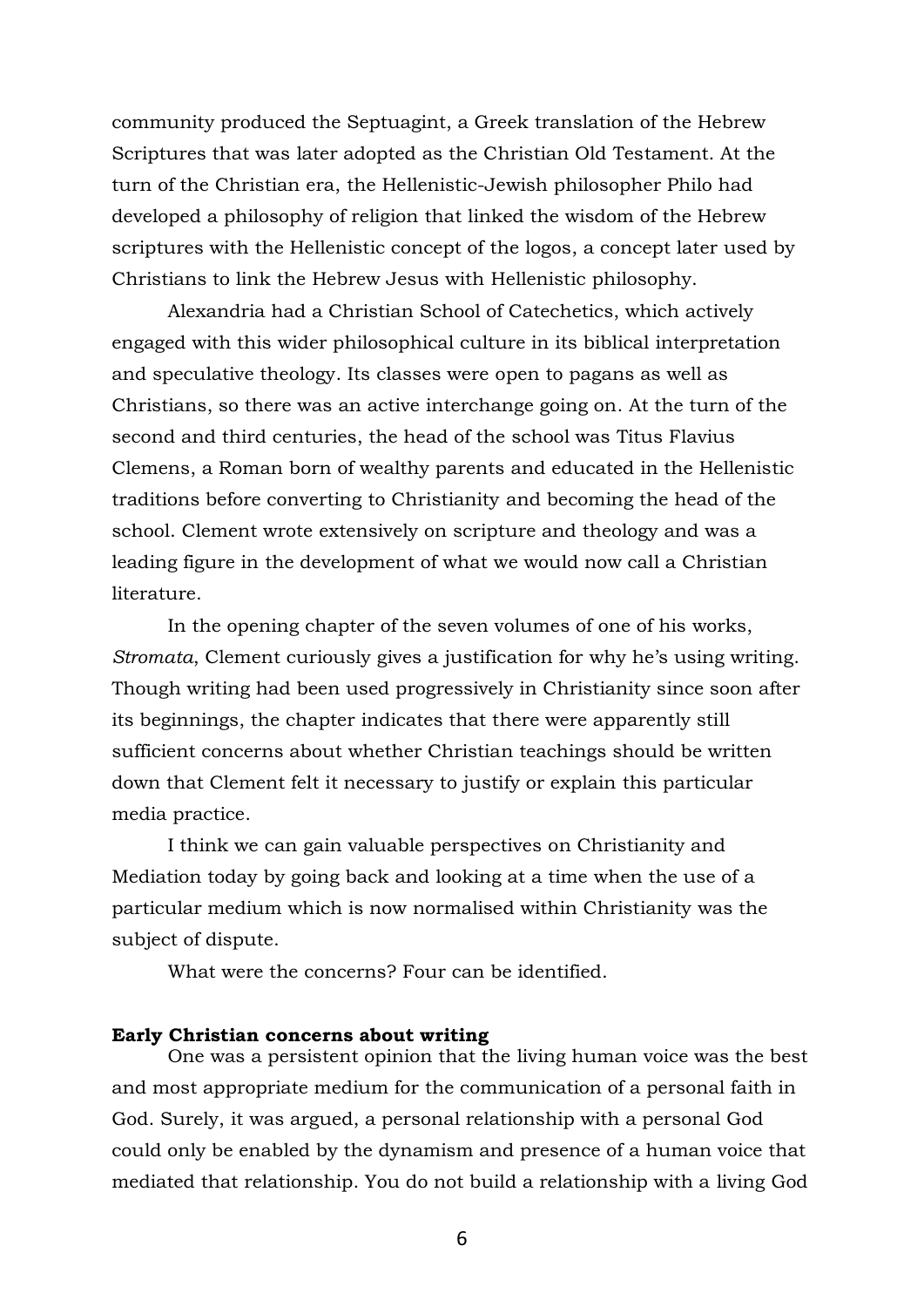community produced the Septuagint, a Greek translation of the Hebrew Scriptures that was later adopted as the Christian Old Testament. At the turn of the Christian era, the Hellenistic-Jewish philosopher Philo had developed a philosophy of religion that linked the wisdom of the Hebrew scriptures with the Hellenistic concept of the logos, a concept later used by Christians to link the Hebrew Jesus with Hellenistic philosophy.

Alexandria had a Christian School of Catechetics, which actively engaged with this wider philosophical culture in its biblical interpretation and speculative theology. Its classes were open to pagans as well as Christians, so there was an active interchange going on. At the turn of the second and third centuries, the head of the school was Titus Flavius Clemens, a Roman born of wealthy parents and educated in the Hellenistic traditions before converting to Christianity and becoming the head of the school. Clement wrote extensively on scripture and theology and was a leading figure in the development of what we would now call a Christian literature.

In the opening chapter of the seven volumes of one of his works, *Stromata*, Clement curiously gives a justification for why he's using writing. Though writing had been used progressively in Christianity since soon after its beginnings, the chapter indicates that there were apparently still sufficient concerns about whether Christian teachings should be written down that Clement felt it necessary to justify or explain this particular media practice.

I think we can gain valuable perspectives on Christianity and Mediation today by going back and looking at a time when the use of a particular medium which is now normalised within Christianity was the subject of dispute.

What were the concerns? Four can be identified.

#### **Early Christian concerns about writing**

One was a persistent opinion that the living human voice was the best and most appropriate medium for the communication of a personal faith in God. Surely, it was argued, a personal relationship with a personal God could only be enabled by the dynamism and presence of a human voice that mediated that relationship. You do not build a relationship with a living God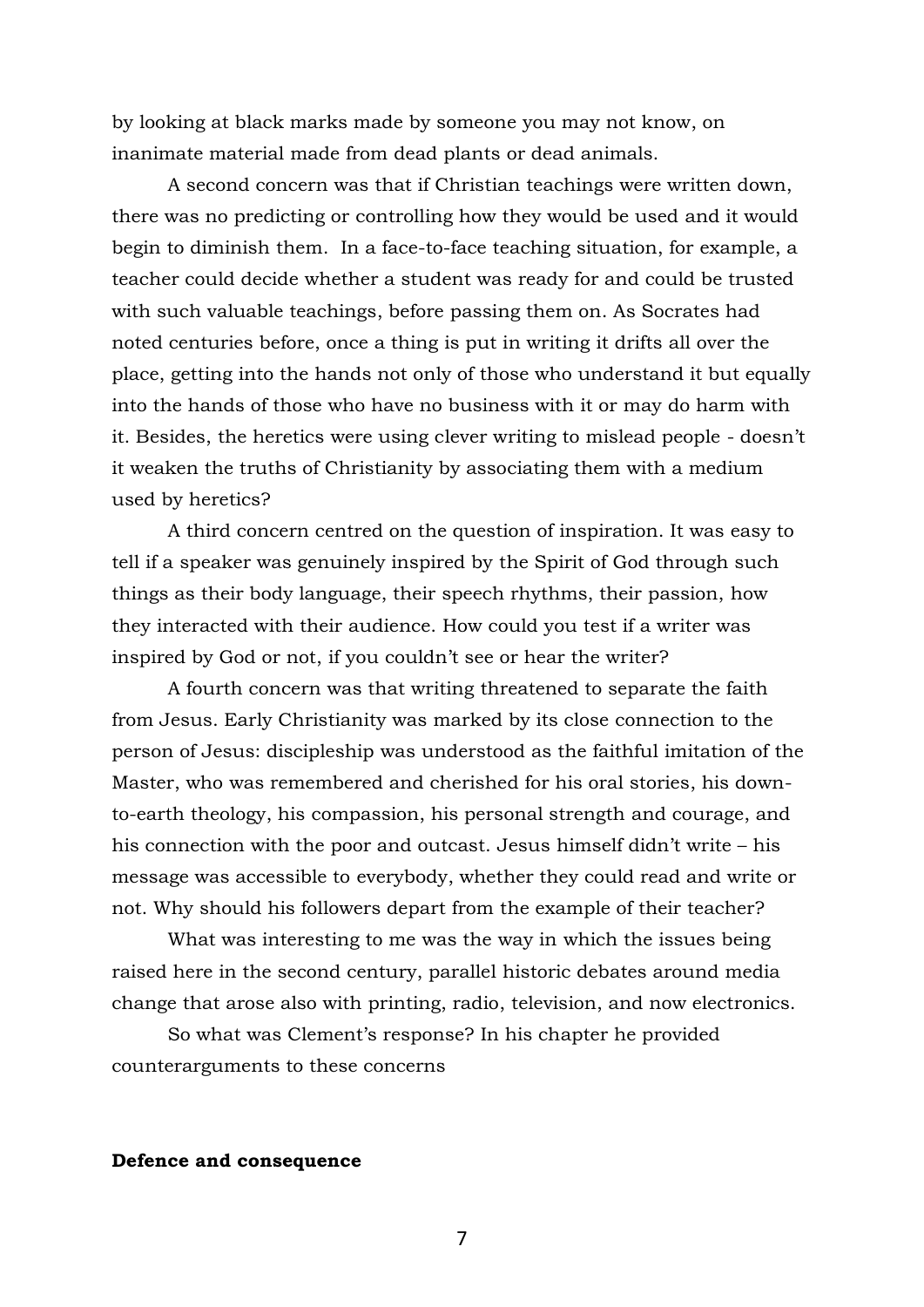by looking at black marks made by someone you may not know, on inanimate material made from dead plants or dead animals.

A second concern was that if Christian teachings were written down, there was no predicting or controlling how they would be used and it would begin to diminish them. In a face-to-face teaching situation, for example, a teacher could decide whether a student was ready for and could be trusted with such valuable teachings, before passing them on. As Socrates had noted centuries before, once a thing is put in writing it drifts all over the place, getting into the hands not only of those who understand it but equally into the hands of those who have no business with it or may do harm with it. Besides, the heretics were using clever writing to mislead people - doesn't it weaken the truths of Christianity by associating them with a medium used by heretics?

A third concern centred on the question of inspiration. It was easy to tell if a speaker was genuinely inspired by the Spirit of God through such things as their body language, their speech rhythms, their passion, how they interacted with their audience. How could you test if a writer was inspired by God or not, if you couldn't see or hear the writer?

A fourth concern was that writing threatened to separate the faith from Jesus. Early Christianity was marked by its close connection to the person of Jesus: discipleship was understood as the faithful imitation of the Master, who was remembered and cherished for his oral stories, his downto-earth theology, his compassion, his personal strength and courage, and his connection with the poor and outcast. Jesus himself didn't write – his message was accessible to everybody, whether they could read and write or not. Why should his followers depart from the example of their teacher?

What was interesting to me was the way in which the issues being raised here in the second century, parallel historic debates around media change that arose also with printing, radio, television, and now electronics.

So what was Clement's response? In his chapter he provided counterarguments to these concerns

#### **Defence and consequence**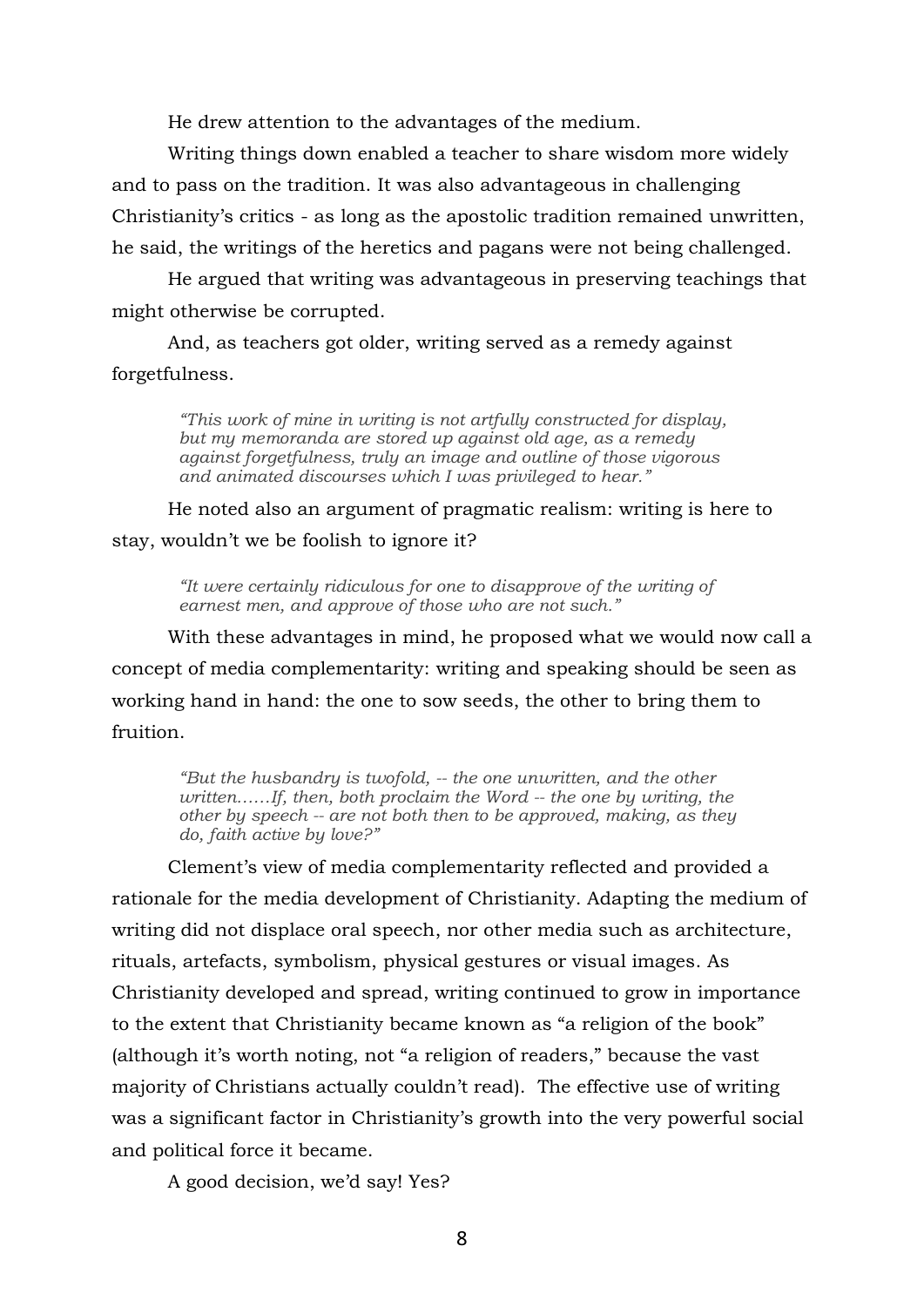He drew attention to the advantages of the medium.

Writing things down enabled a teacher to share wisdom more widely and to pass on the tradition. It was also advantageous in challenging Christianity's critics - as long as the apostolic tradition remained unwritten, he said, the writings of the heretics and pagans were not being challenged.

He argued that writing was advantageous in preserving teachings that might otherwise be corrupted.

And, as teachers got older, writing served as a remedy against forgetfulness.

> *"This work of mine in writing is not artfully constructed for display, but my memoranda are stored up against old age, as a remedy against forgetfulness, truly an image and outline of those vigorous and animated discourses which I was privileged to hear."*

He noted also an argument of pragmatic realism: writing is here to stay, wouldn't we be foolish to ignore it?

> *"It were certainly ridiculous for one to disapprove of the writing of earnest men, and approve of those who are not such."*

With these advantages in mind, he proposed what we would now call a concept of media complementarity: writing and speaking should be seen as working hand in hand: the one to sow seeds, the other to bring them to fruition.

*"But the husbandry is twofold, -- the one unwritten, and the other written……If, then, both proclaim the Word -- the one by writing, the other by speech -- are not both then to be approved, making, as they do, faith active by love?"* 

Clement's view of media complementarity reflected and provided a rationale for the media development of Christianity. Adapting the medium of writing did not displace oral speech, nor other media such as architecture, rituals, artefacts, symbolism, physical gestures or visual images. As Christianity developed and spread, writing continued to grow in importance to the extent that Christianity became known as "a religion of the book" (although it's worth noting, not "a religion of readers," because the vast majority of Christians actually couldn't read). The effective use of writing was a significant factor in Christianity's growth into the very powerful social and political force it became.

A good decision, we'd say! Yes?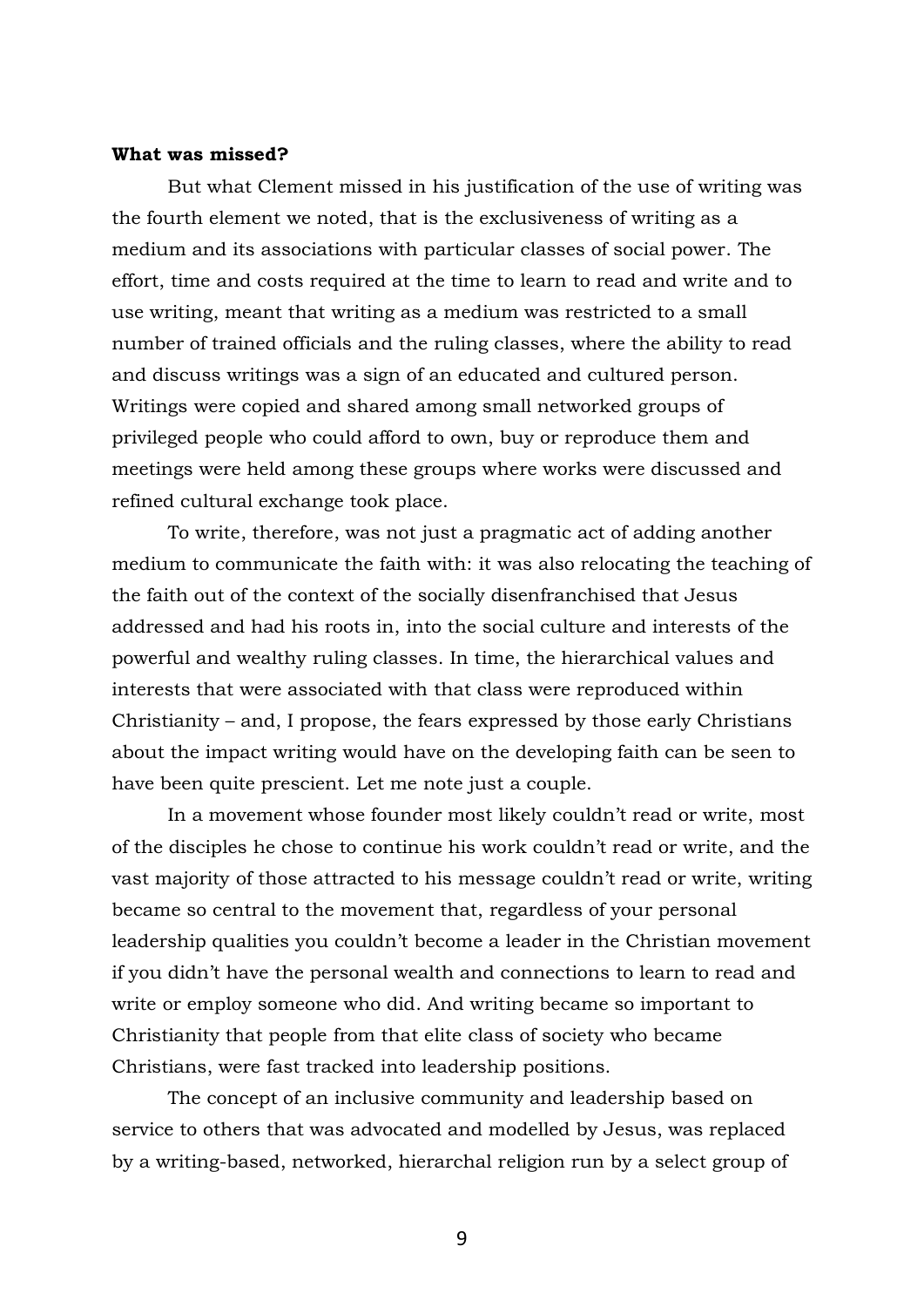#### **What was missed?**

But what Clement missed in his justification of the use of writing was the fourth element we noted, that is the exclusiveness of writing as a medium and its associations with particular classes of social power. The effort, time and costs required at the time to learn to read and write and to use writing, meant that writing as a medium was restricted to a small number of trained officials and the ruling classes, where the ability to read and discuss writings was a sign of an educated and cultured person. Writings were copied and shared among small networked groups of privileged people who could afford to own, buy or reproduce them and meetings were held among these groups where works were discussed and refined cultural exchange took place.

To write, therefore, was not just a pragmatic act of adding another medium to communicate the faith with: it was also relocating the teaching of the faith out of the context of the socially disenfranchised that Jesus addressed and had his roots in, into the social culture and interests of the powerful and wealthy ruling classes. In time, the hierarchical values and interests that were associated with that class were reproduced within Christianity – and, I propose, the fears expressed by those early Christians about the impact writing would have on the developing faith can be seen to have been quite prescient. Let me note just a couple.

In a movement whose founder most likely couldn't read or write, most of the disciples he chose to continue his work couldn't read or write, and the vast majority of those attracted to his message couldn't read or write, writing became so central to the movement that, regardless of your personal leadership qualities you couldn't become a leader in the Christian movement if you didn't have the personal wealth and connections to learn to read and write or employ someone who did. And writing became so important to Christianity that people from that elite class of society who became Christians, were fast tracked into leadership positions.

The concept of an inclusive community and leadership based on service to others that was advocated and modelled by Jesus, was replaced by a writing-based, networked, hierarchal religion run by a select group of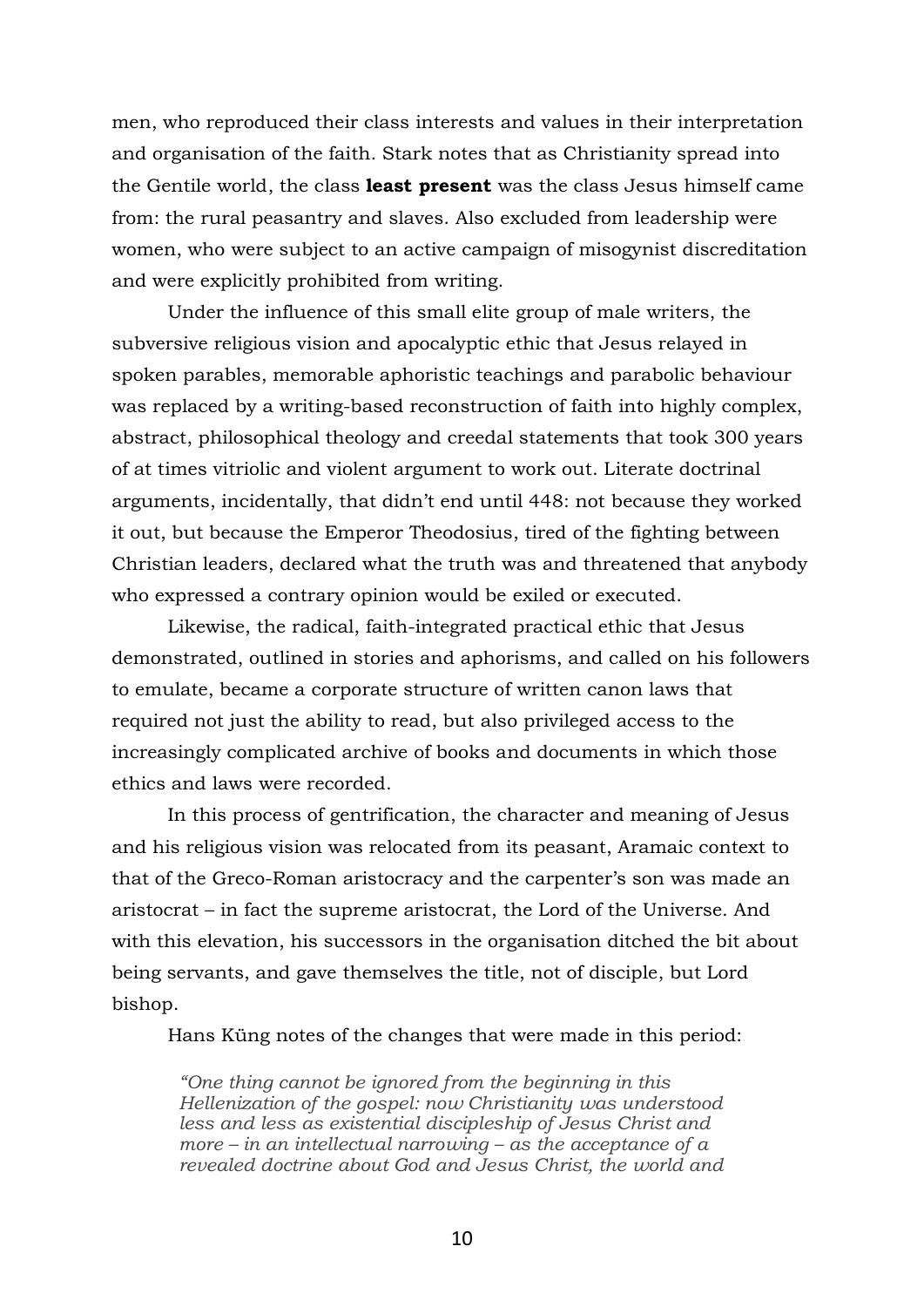men, who reproduced their class interests and values in their interpretation and organisation of the faith. Stark notes that as Christianity spread into the Gentile world, the class **least present** was the class Jesus himself came from: the rural peasantry and slaves. Also excluded from leadership were women, who were subject to an active campaign of misogynist discreditation and were explicitly prohibited from writing.

Under the influence of this small elite group of male writers, the subversive religious vision and apocalyptic ethic that Jesus relayed in spoken parables, memorable aphoristic teachings and parabolic behaviour was replaced by a writing-based reconstruction of faith into highly complex, abstract, philosophical theology and creedal statements that took 300 years of at times vitriolic and violent argument to work out. Literate doctrinal arguments, incidentally, that didn't end until 448: not because they worked it out, but because the Emperor Theodosius, tired of the fighting between Christian leaders, declared what the truth was and threatened that anybody who expressed a contrary opinion would be exiled or executed.

Likewise, the radical, faith-integrated practical ethic that Jesus demonstrated, outlined in stories and aphorisms, and called on his followers to emulate, became a corporate structure of written canon laws that required not just the ability to read, but also privileged access to the increasingly complicated archive of books and documents in which those ethics and laws were recorded.

In this process of gentrification, the character and meaning of Jesus and his religious vision was relocated from its peasant, Aramaic context to that of the Greco-Roman aristocracy and the carpenter's son was made an aristocrat – in fact the supreme aristocrat, the Lord of the Universe. And with this elevation, his successors in the organisation ditched the bit about being servants, and gave themselves the title, not of disciple, but Lord bishop.

Hans Küng notes of the changes that were made in this period:

*"One thing cannot be ignored from the beginning in this Hellenization of the gospel: now Christianity was understood less and less as existential discipleship of Jesus Christ and more – in an intellectual narrowing – as the acceptance of a revealed doctrine about God and Jesus Christ, the world and*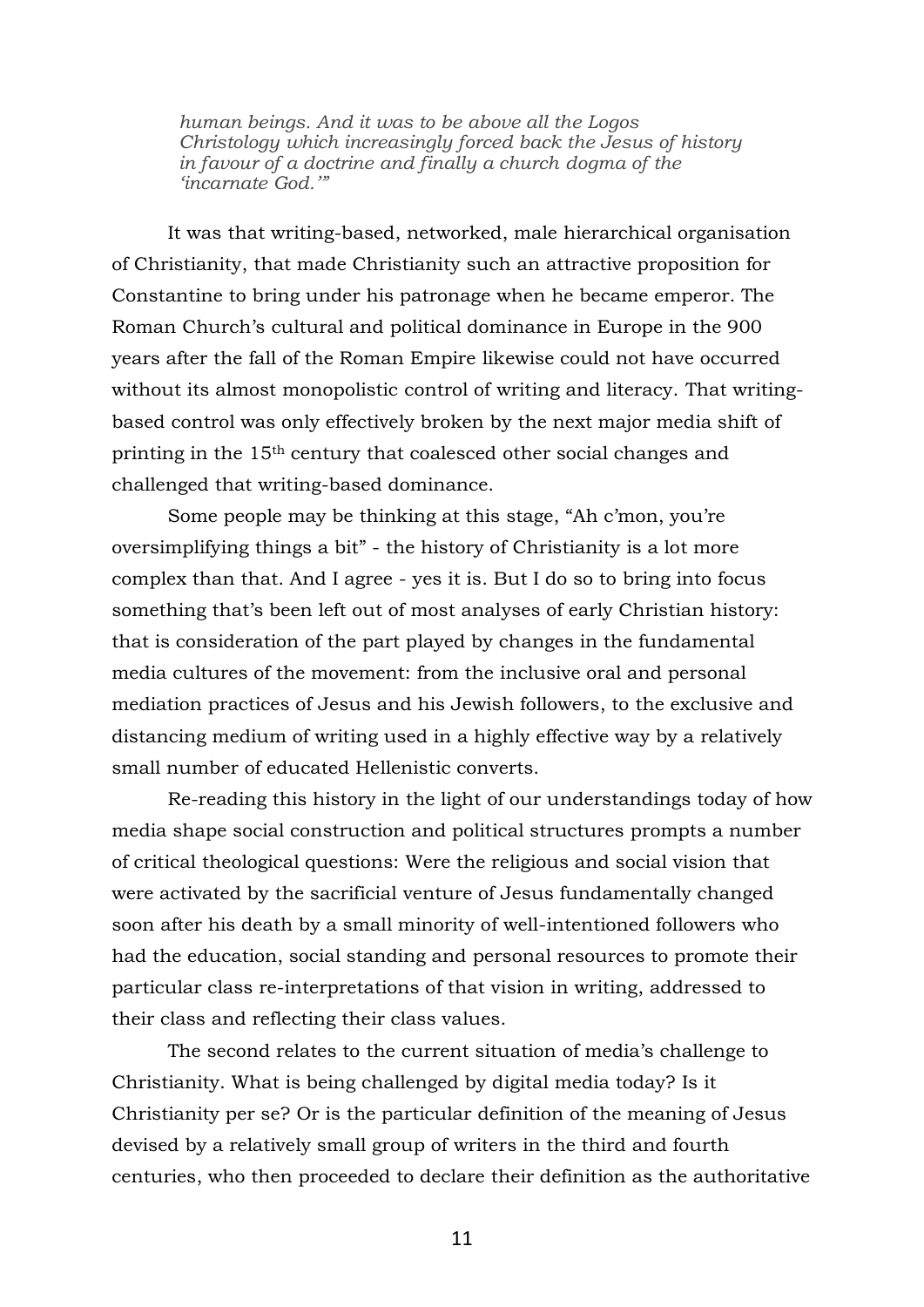*human beings. And it was to be above all the Logos Christology which increasingly forced back the Jesus of history in favour of a doctrine and finally a church dogma of the 'incarnate God.'"*

It was that writing-based, networked, male hierarchical organisation of Christianity, that made Christianity such an attractive proposition for Constantine to bring under his patronage when he became emperor. The Roman Church's cultural and political dominance in Europe in the 900 years after the fall of the Roman Empire likewise could not have occurred without its almost monopolistic control of writing and literacy. That writingbased control was only effectively broken by the next major media shift of printing in the 15th century that coalesced other social changes and challenged that writing-based dominance.

Some people may be thinking at this stage, "Ah c'mon, you're oversimplifying things a bit" - the history of Christianity is a lot more complex than that. And I agree - yes it is. But I do so to bring into focus something that's been left out of most analyses of early Christian history: that is consideration of the part played by changes in the fundamental media cultures of the movement: from the inclusive oral and personal mediation practices of Jesus and his Jewish followers, to the exclusive and distancing medium of writing used in a highly effective way by a relatively small number of educated Hellenistic converts.

Re-reading this history in the light of our understandings today of how media shape social construction and political structures prompts a number of critical theological questions: Were the religious and social vision that were activated by the sacrificial venture of Jesus fundamentally changed soon after his death by a small minority of well-intentioned followers who had the education, social standing and personal resources to promote their particular class re-interpretations of that vision in writing, addressed to their class and reflecting their class values.

The second relates to the current situation of media's challenge to Christianity. What is being challenged by digital media today? Is it Christianity per se? Or is the particular definition of the meaning of Jesus devised by a relatively small group of writers in the third and fourth centuries, who then proceeded to declare their definition as the authoritative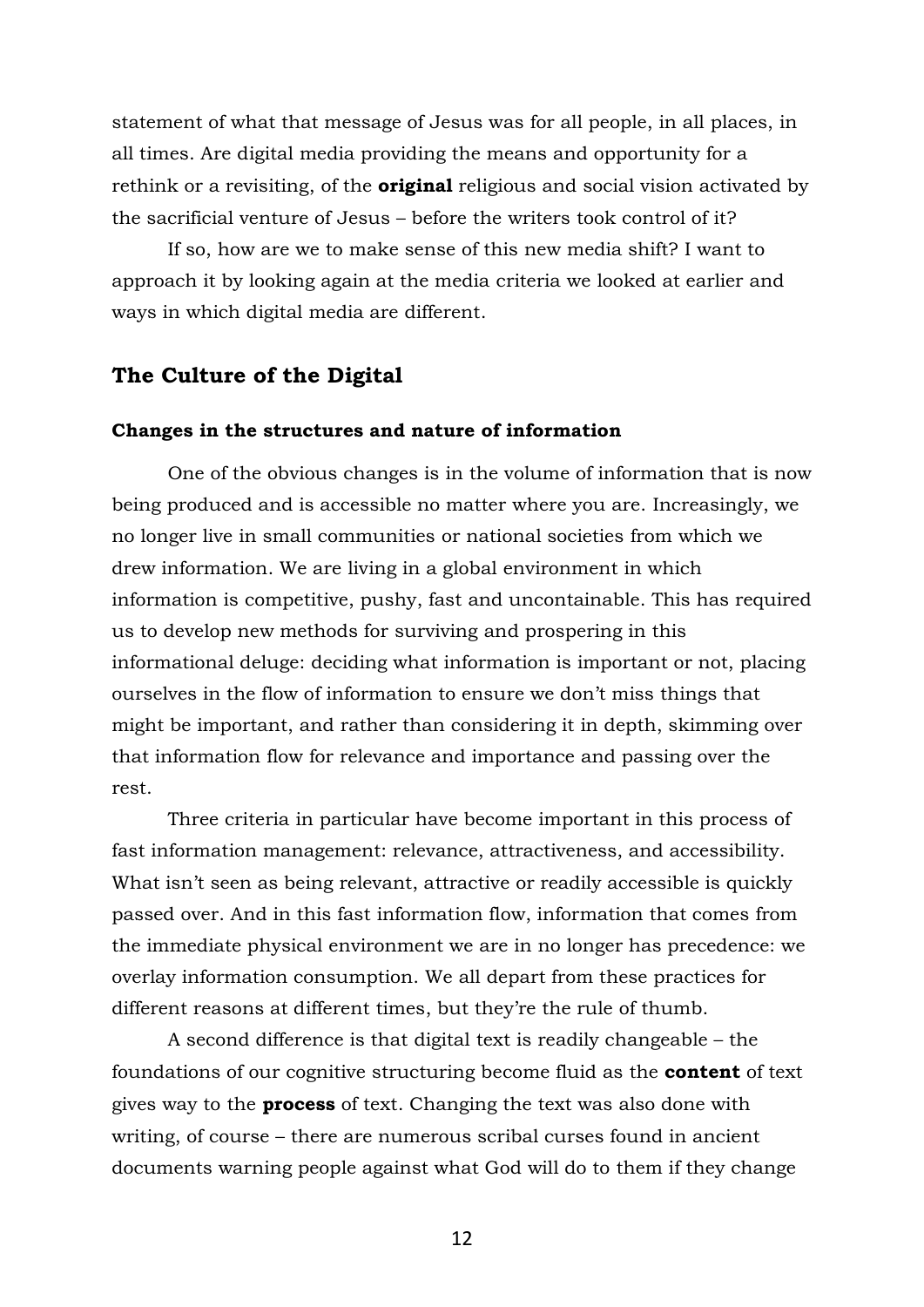statement of what that message of Jesus was for all people, in all places, in all times. Are digital media providing the means and opportunity for a rethink or a revisiting, of the **original** religious and social vision activated by the sacrificial venture of Jesus – before the writers took control of it?

If so, how are we to make sense of this new media shift? I want to approach it by looking again at the media criteria we looked at earlier and ways in which digital media are different.

# **The Culture of the Digital**

#### **Changes in the structures and nature of information**

One of the obvious changes is in the volume of information that is now being produced and is accessible no matter where you are. Increasingly, we no longer live in small communities or national societies from which we drew information. We are living in a global environment in which information is competitive, pushy, fast and uncontainable. This has required us to develop new methods for surviving and prospering in this informational deluge: deciding what information is important or not, placing ourselves in the flow of information to ensure we don't miss things that might be important, and rather than considering it in depth, skimming over that information flow for relevance and importance and passing over the rest.

Three criteria in particular have become important in this process of fast information management: relevance, attractiveness, and accessibility. What isn't seen as being relevant, attractive or readily accessible is quickly passed over. And in this fast information flow, information that comes from the immediate physical environment we are in no longer has precedence: we overlay information consumption. We all depart from these practices for different reasons at different times, but they're the rule of thumb.

A second difference is that digital text is readily changeable – the foundations of our cognitive structuring become fluid as the **content** of text gives way to the **process** of text. Changing the text was also done with writing, of course – there are numerous scribal curses found in ancient documents warning people against what God will do to them if they change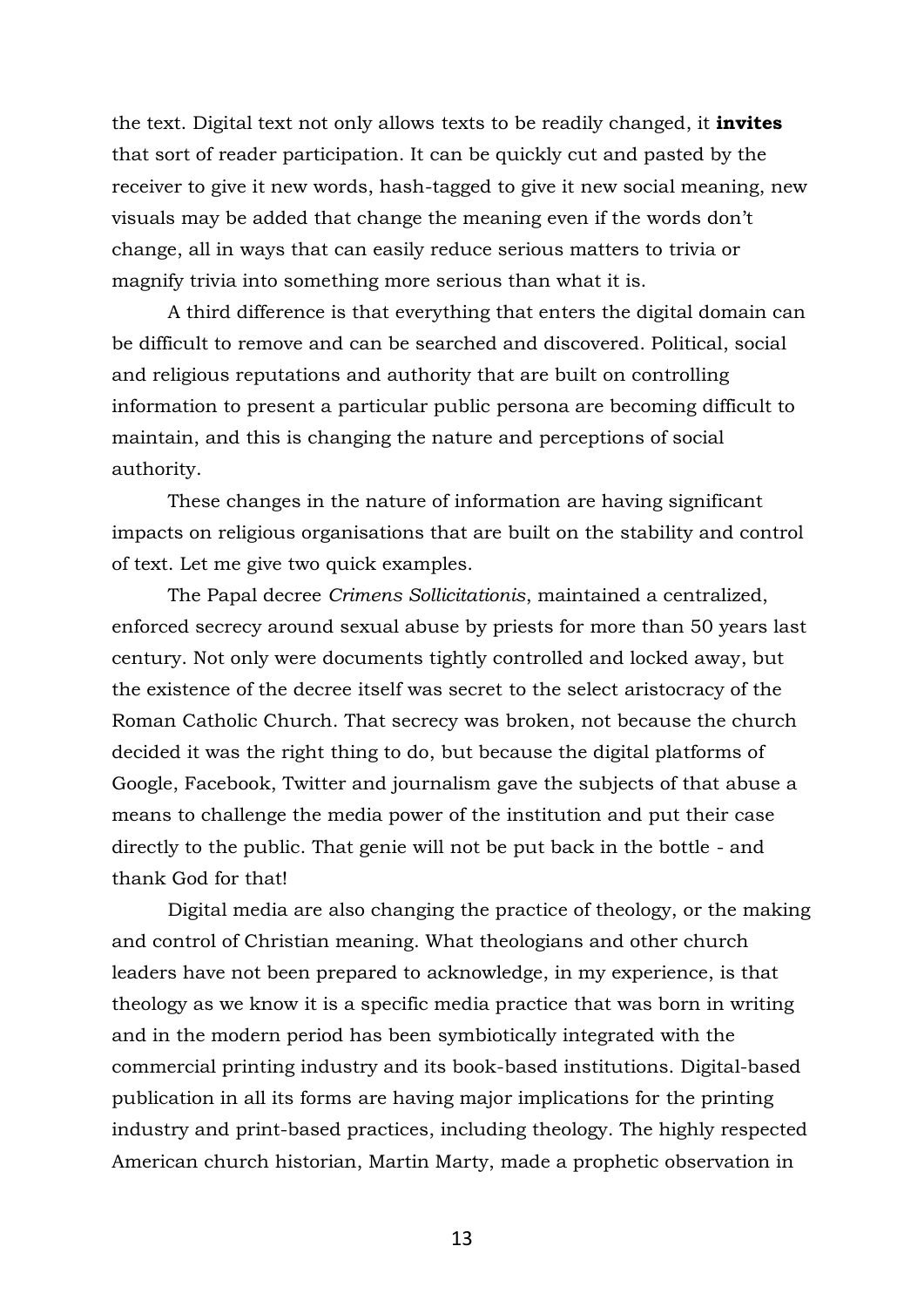the text. Digital text not only allows texts to be readily changed, it **invites** that sort of reader participation. It can be quickly cut and pasted by the receiver to give it new words, hash-tagged to give it new social meaning, new visuals may be added that change the meaning even if the words don't change, all in ways that can easily reduce serious matters to trivia or magnify trivia into something more serious than what it is.

A third difference is that everything that enters the digital domain can be difficult to remove and can be searched and discovered. Political, social and religious reputations and authority that are built on controlling information to present a particular public persona are becoming difficult to maintain, and this is changing the nature and perceptions of social authority.

These changes in the nature of information are having significant impacts on religious organisations that are built on the stability and control of text. Let me give two quick examples.

The Papal decree *Crimens Sollicitationis*, maintained a centralized, enforced secrecy around sexual abuse by priests for more than 50 years last century. Not only were documents tightly controlled and locked away, but the existence of the decree itself was secret to the select aristocracy of the Roman Catholic Church. That secrecy was broken, not because the church decided it was the right thing to do, but because the digital platforms of Google, Facebook, Twitter and journalism gave the subjects of that abuse a means to challenge the media power of the institution and put their case directly to the public. That genie will not be put back in the bottle - and thank God for that!

Digital media are also changing the practice of theology, or the making and control of Christian meaning. What theologians and other church leaders have not been prepared to acknowledge, in my experience, is that theology as we know it is a specific media practice that was born in writing and in the modern period has been symbiotically integrated with the commercial printing industry and its book-based institutions. Digital-based publication in all its forms are having major implications for the printing industry and print-based practices, including theology. The highly respected American church historian, Martin Marty, made a prophetic observation in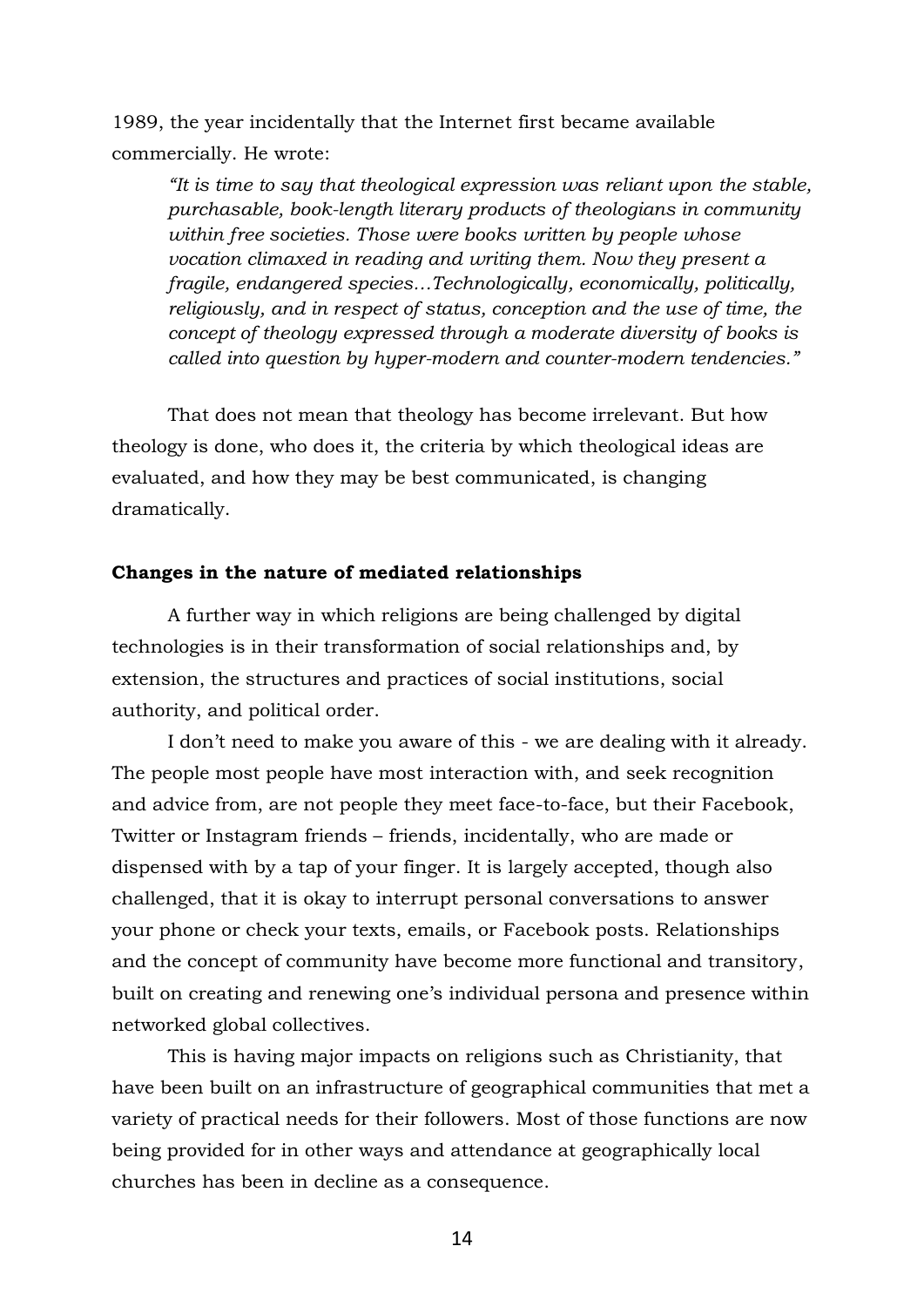1989, the year incidentally that the Internet first became available commercially. He wrote:

*"It is time to say that theological expression was reliant upon the stable, purchasable, book-length literary products of theologians in community within free societies. Those were books written by people whose vocation climaxed in reading and writing them. Now they present a fragile, endangered species…Technologically, economically, politically, religiously, and in respect of status, conception and the use of time, the concept of theology expressed through a moderate diversity of books is called into question by hyper-modern and counter-modern tendencies."*

That does not mean that theology has become irrelevant. But how theology is done, who does it, the criteria by which theological ideas are evaluated, and how they may be best communicated, is changing dramatically.

### **Changes in the nature of mediated relationships**

A further way in which religions are being challenged by digital technologies is in their transformation of social relationships and, by extension, the structures and practices of social institutions, social authority, and political order.

I don't need to make you aware of this - we are dealing with it already. The people most people have most interaction with, and seek recognition and advice from, are not people they meet face-to-face, but their Facebook, Twitter or Instagram friends – friends, incidentally, who are made or dispensed with by a tap of your finger. It is largely accepted, though also challenged, that it is okay to interrupt personal conversations to answer your phone or check your texts, emails, or Facebook posts. Relationships and the concept of community have become more functional and transitory, built on creating and renewing one's individual persona and presence within networked global collectives.

This is having major impacts on religions such as Christianity, that have been built on an infrastructure of geographical communities that met a variety of practical needs for their followers. Most of those functions are now being provided for in other ways and attendance at geographically local churches has been in decline as a consequence.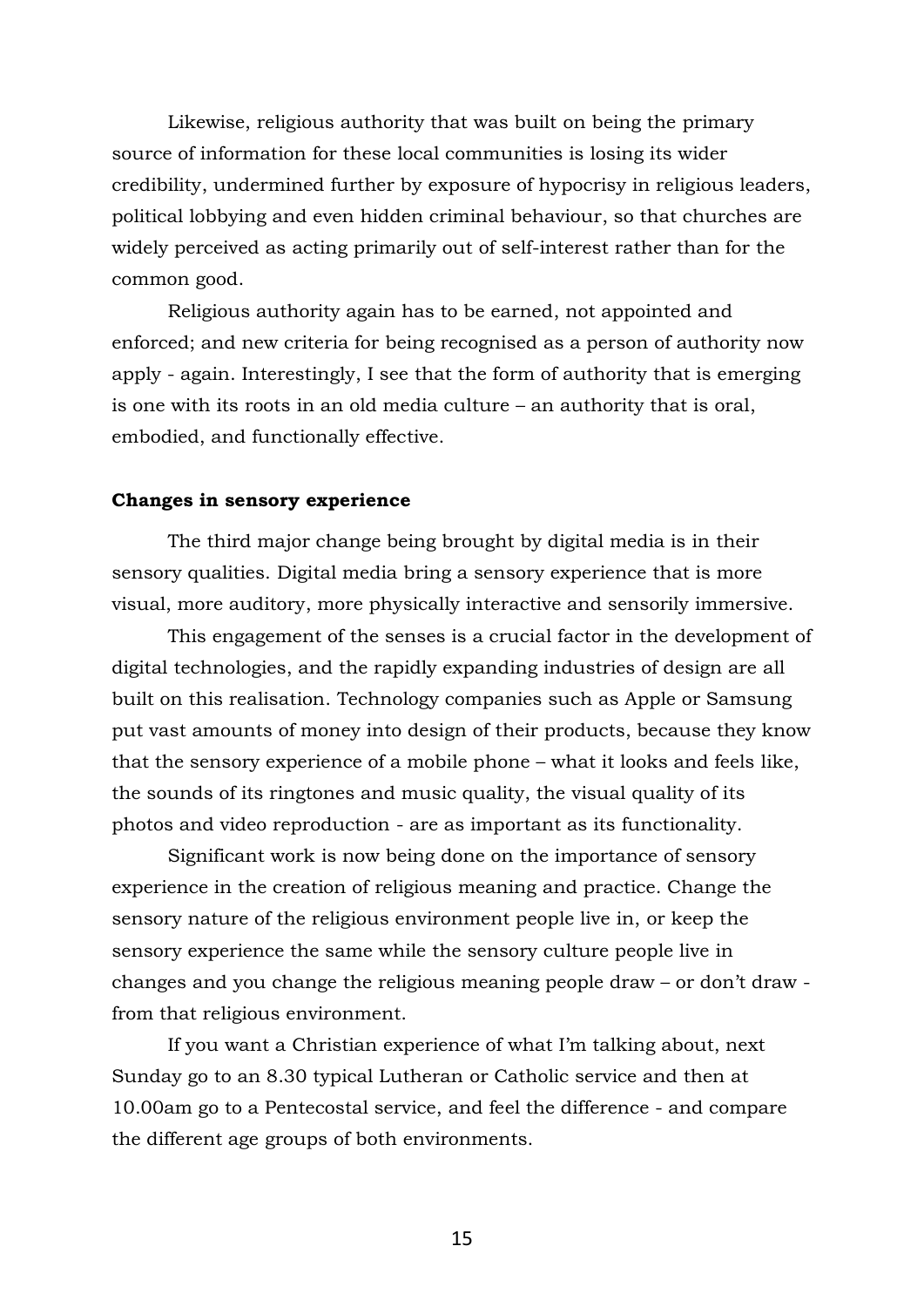Likewise, religious authority that was built on being the primary source of information for these local communities is losing its wider credibility, undermined further by exposure of hypocrisy in religious leaders, political lobbying and even hidden criminal behaviour, so that churches are widely perceived as acting primarily out of self-interest rather than for the common good.

Religious authority again has to be earned, not appointed and enforced; and new criteria for being recognised as a person of authority now apply - again. Interestingly, I see that the form of authority that is emerging is one with its roots in an old media culture – an authority that is oral, embodied, and functionally effective.

#### **Changes in sensory experience**

The third major change being brought by digital media is in their sensory qualities. Digital media bring a sensory experience that is more visual, more auditory, more physically interactive and sensorily immersive.

This engagement of the senses is a crucial factor in the development of digital technologies, and the rapidly expanding industries of design are all built on this realisation. Technology companies such as Apple or Samsung put vast amounts of money into design of their products, because they know that the sensory experience of a mobile phone – what it looks and feels like, the sounds of its ringtones and music quality, the visual quality of its photos and video reproduction - are as important as its functionality.

Significant work is now being done on the importance of sensory experience in the creation of religious meaning and practice. Change the sensory nature of the religious environment people live in, or keep the sensory experience the same while the sensory culture people live in changes and you change the religious meaning people draw – or don't draw from that religious environment.

If you want a Christian experience of what I'm talking about, next Sunday go to an 8.30 typical Lutheran or Catholic service and then at 10.00am go to a Pentecostal service, and feel the difference - and compare the different age groups of both environments.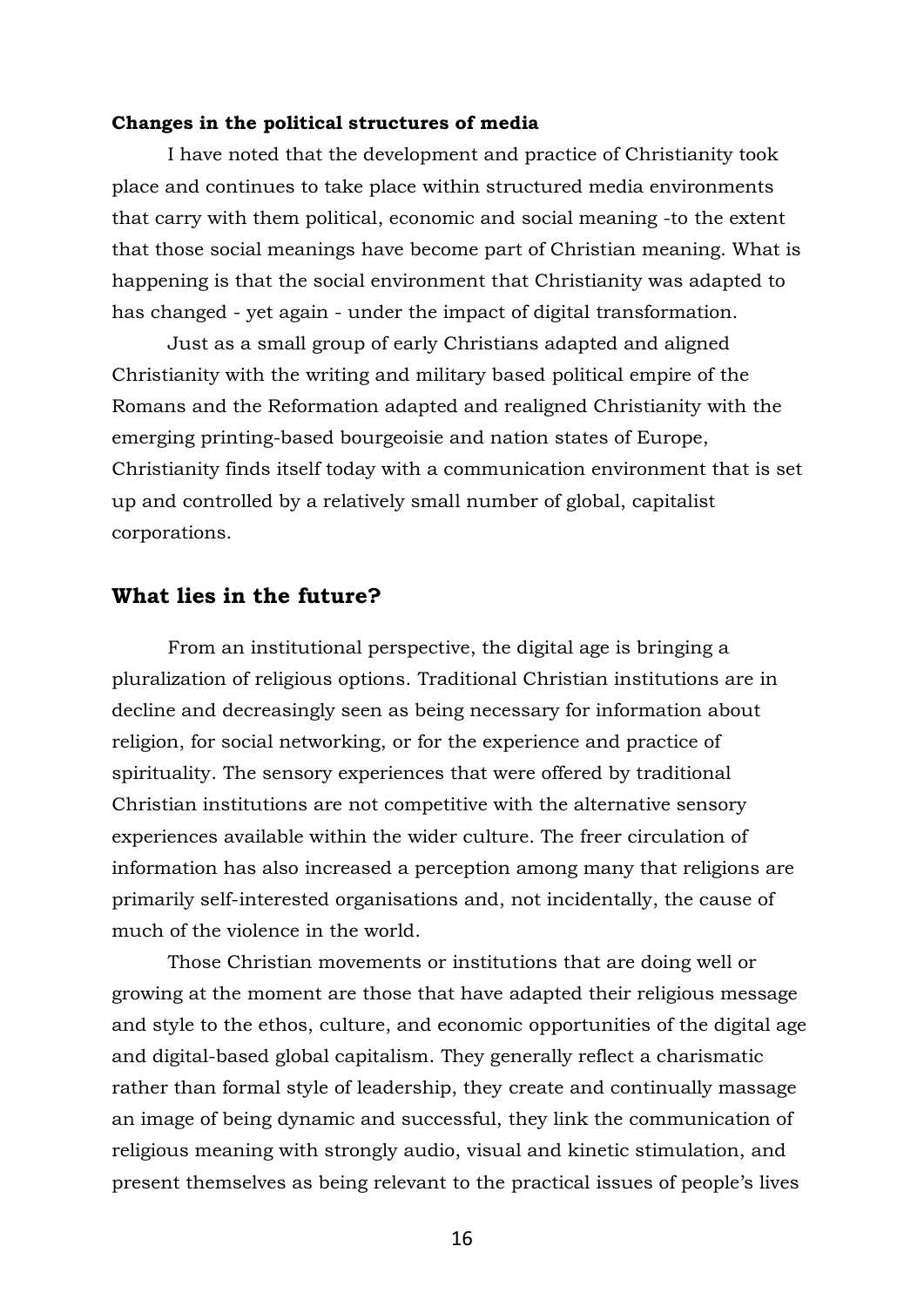#### **Changes in the political structures of media**

I have noted that the development and practice of Christianity took place and continues to take place within structured media environments that carry with them political, economic and social meaning -to the extent that those social meanings have become part of Christian meaning. What is happening is that the social environment that Christianity was adapted to has changed - yet again - under the impact of digital transformation.

Just as a small group of early Christians adapted and aligned Christianity with the writing and military based political empire of the Romans and the Reformation adapted and realigned Christianity with the emerging printing-based bourgeoisie and nation states of Europe, Christianity finds itself today with a communication environment that is set up and controlled by a relatively small number of global, capitalist corporations.

## **What lies in the future?**

From an institutional perspective, the digital age is bringing a pluralization of religious options. Traditional Christian institutions are in decline and decreasingly seen as being necessary for information about religion, for social networking, or for the experience and practice of spirituality. The sensory experiences that were offered by traditional Christian institutions are not competitive with the alternative sensory experiences available within the wider culture. The freer circulation of information has also increased a perception among many that religions are primarily self-interested organisations and, not incidentally, the cause of much of the violence in the world.

Those Christian movements or institutions that are doing well or growing at the moment are those that have adapted their religious message and style to the ethos, culture, and economic opportunities of the digital age and digital-based global capitalism. They generally reflect a charismatic rather than formal style of leadership, they create and continually massage an image of being dynamic and successful, they link the communication of religious meaning with strongly audio, visual and kinetic stimulation, and present themselves as being relevant to the practical issues of people's lives